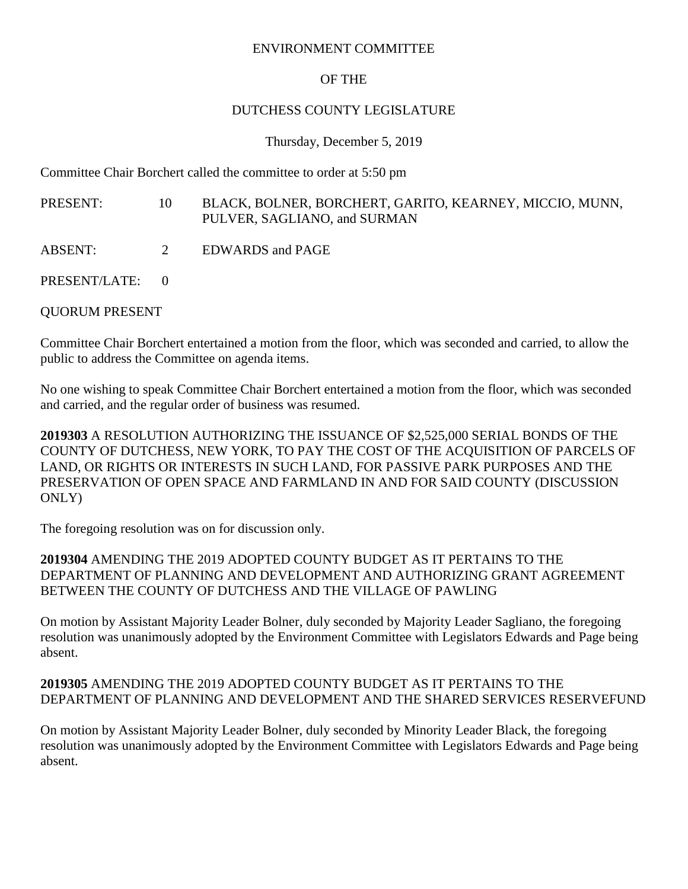#### ENVIRONMENT COMMITTEE

# OF THE

#### DUTCHESS COUNTY LEGISLATURE

#### Thursday, December 5, 2019

Committee Chair Borchert called the committee to order at 5:50 pm

PRESENT: 10 BLACK, BOLNER, BORCHERT, GARITO, KEARNEY, MICCIO, MUNN, PULVER, SAGLIANO, and SURMAN

- ABSENT: 2 EDWARDS and PAGE
- PRESENT/LATE: 0

# QUORUM PRESENT

Committee Chair Borchert entertained a motion from the floor, which was seconded and carried, to allow the public to address the Committee on agenda items.

No one wishing to speak Committee Chair Borchert entertained a motion from the floor, which was seconded and carried, and the regular order of business was resumed.

**2019303** A RESOLUTION AUTHORIZING THE ISSUANCE OF \$2,525,000 SERIAL BONDS OF THE COUNTY OF DUTCHESS, NEW YORK, TO PAY THE COST OF THE ACQUISITION OF PARCELS OF LAND, OR RIGHTS OR INTERESTS IN SUCH LAND, FOR PASSIVE PARK PURPOSES AND THE PRESERVATION OF OPEN SPACE AND FARMLAND IN AND FOR SAID COUNTY (DISCUSSION ONLY)

The foregoing resolution was on for discussion only.

**2019304** AMENDING THE 2019 ADOPTED COUNTY BUDGET AS IT PERTAINS TO THE DEPARTMENT OF PLANNING AND DEVELOPMENT AND AUTHORIZING GRANT AGREEMENT BETWEEN THE COUNTY OF DUTCHESS AND THE VILLAGE OF PAWLING

On motion by Assistant Majority Leader Bolner, duly seconded by Majority Leader Sagliano, the foregoing resolution was unanimously adopted by the Environment Committee with Legislators Edwards and Page being absent.

# **2019305** AMENDING THE 2019 ADOPTED COUNTY BUDGET AS IT PERTAINS TO THE DEPARTMENT OF PLANNING AND DEVELOPMENT AND THE SHARED SERVICES RESERVEFUND

On motion by Assistant Majority Leader Bolner, duly seconded by Minority Leader Black, the foregoing resolution was unanimously adopted by the Environment Committee with Legislators Edwards and Page being absent.